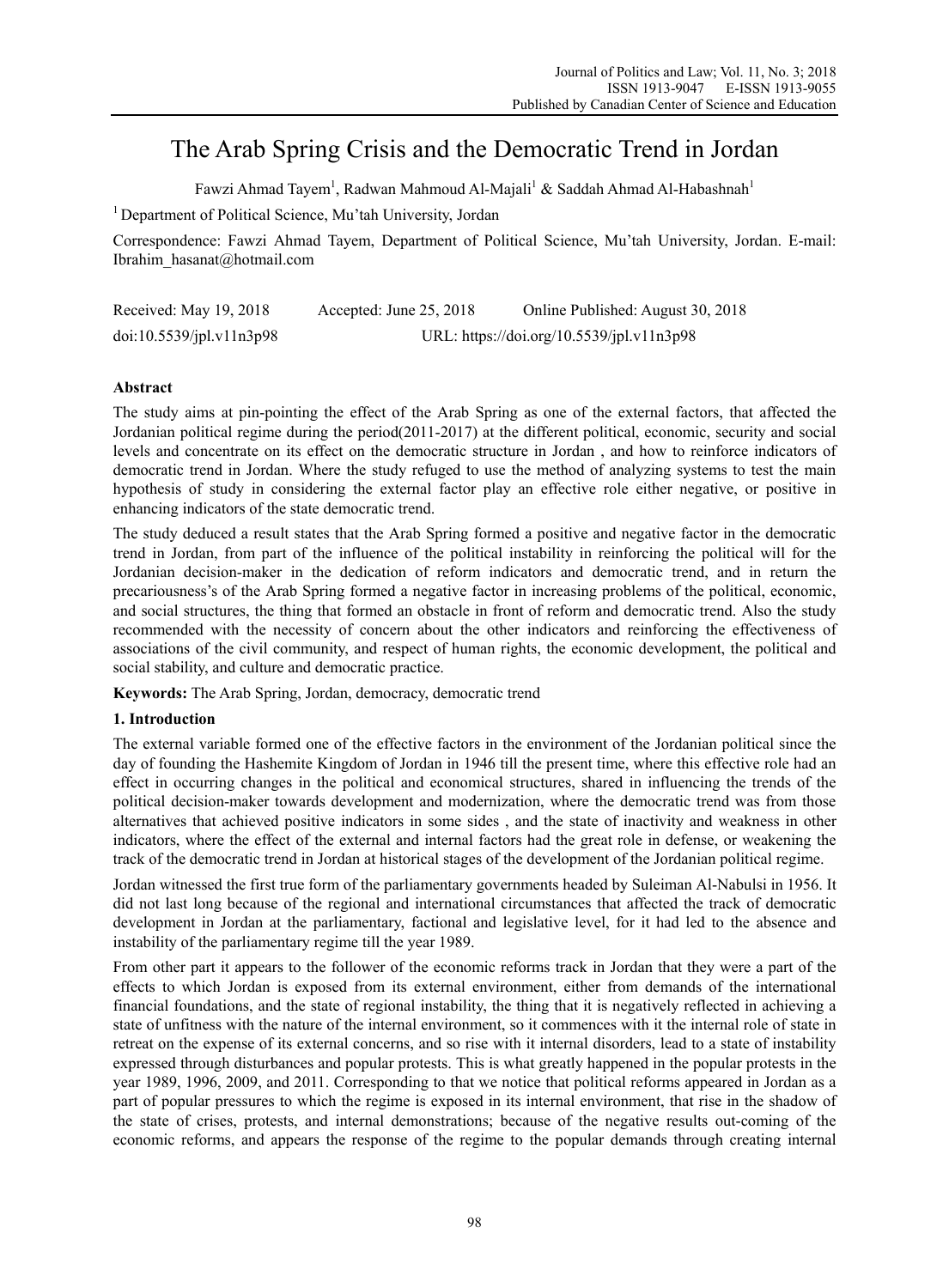# The Arab Spring Crisis and the Democratic Trend in Jordan

Fawzi Ahmad Tayem<sup>1</sup>, Radwan Mahmoud Al-Majali<sup>1</sup> & Saddah Ahmad Al-Habashnah<sup>1</sup>

<sup>1</sup> Department of Political Science, Mu'tah University, Jordan

Correspondence: Fawzi Ahmad Tayem, Department of Political Science, Mu'tah University, Jordan. E-mail: Ibrahim\_hasanat@hotmail.com

| Received: May 19, 2018   | Accepted: June $25, 2018$ | Online Published: August 30, 2018         |
|--------------------------|---------------------------|-------------------------------------------|
| doi:10.5539/jpl.v11n3p98 |                           | URL: https://doi.org/10.5539/jpl.v11n3p98 |

# **Abstract**

The study aims at pin-pointing the effect of the Arab Spring as one of the external factors, that affected the Jordanian political regime during the period(2011-2017) at the different political, economic, security and social levels and concentrate on its effect on the democratic structure in Jordan , and how to reinforce indicators of democratic trend in Jordan. Where the study refuged to use the method of analyzing systems to test the main hypothesis of study in considering the external factor play an effective role either negative, or positive in enhancing indicators of the state democratic trend.

The study deduced a result states that the Arab Spring formed a positive and negative factor in the democratic trend in Jordan, from part of the influence of the political instability in reinforcing the political will for the Jordanian decision-maker in the dedication of reform indicators and democratic trend, and in return the precariousness's of the Arab Spring formed a negative factor in increasing problems of the political, economic, and social structures, the thing that formed an obstacle in front of reform and democratic trend. Also the study recommended with the necessity of concern about the other indicators and reinforcing the effectiveness of associations of the civil community, and respect of human rights, the economic development, the political and social stability, and culture and democratic practice.

**Keywords:** The Arab Spring, Jordan, democracy, democratic trend

# **1. Introduction**

The external variable formed one of the effective factors in the environment of the Jordanian political since the day of founding the Hashemite Kingdom of Jordan in 1946 till the present time, where this effective role had an effect in occurring changes in the political and economical structures, shared in influencing the trends of the political decision-maker towards development and modernization, where the democratic trend was from those alternatives that achieved positive indicators in some sides , and the state of inactivity and weakness in other indicators, where the effect of the external and internal factors had the great role in defense, or weakening the track of the democratic trend in Jordan at historical stages of the development of the Jordanian political regime.

Jordan witnessed the first true form of the parliamentary governments headed by Suleiman Al-Nabulsi in 1956. It did not last long because of the regional and international circumstances that affected the track of democratic development in Jordan at the parliamentary, factional and legislative level, for it had led to the absence and instability of the parliamentary regime till the year 1989.

From other part it appears to the follower of the economic reforms track in Jordan that they were a part of the effects to which Jordan is exposed from its external environment, either from demands of the international financial foundations, and the state of regional instability, the thing that it is negatively reflected in achieving a state of unfitness with the nature of the internal environment, so it commences with it the internal role of state in retreat on the expense of its external concerns, and so rise with it internal disorders, lead to a state of instability expressed through disturbances and popular protests. This is what greatly happened in the popular protests in the year 1989, 1996, 2009, and 2011. Corresponding to that we notice that political reforms appeared in Jordan as a part of popular pressures to which the regime is exposed in its internal environment, that rise in the shadow of the state of crises, protests, and internal demonstrations; because of the negative results out-coming of the economic reforms, and appears the response of the regime to the popular demands through creating internal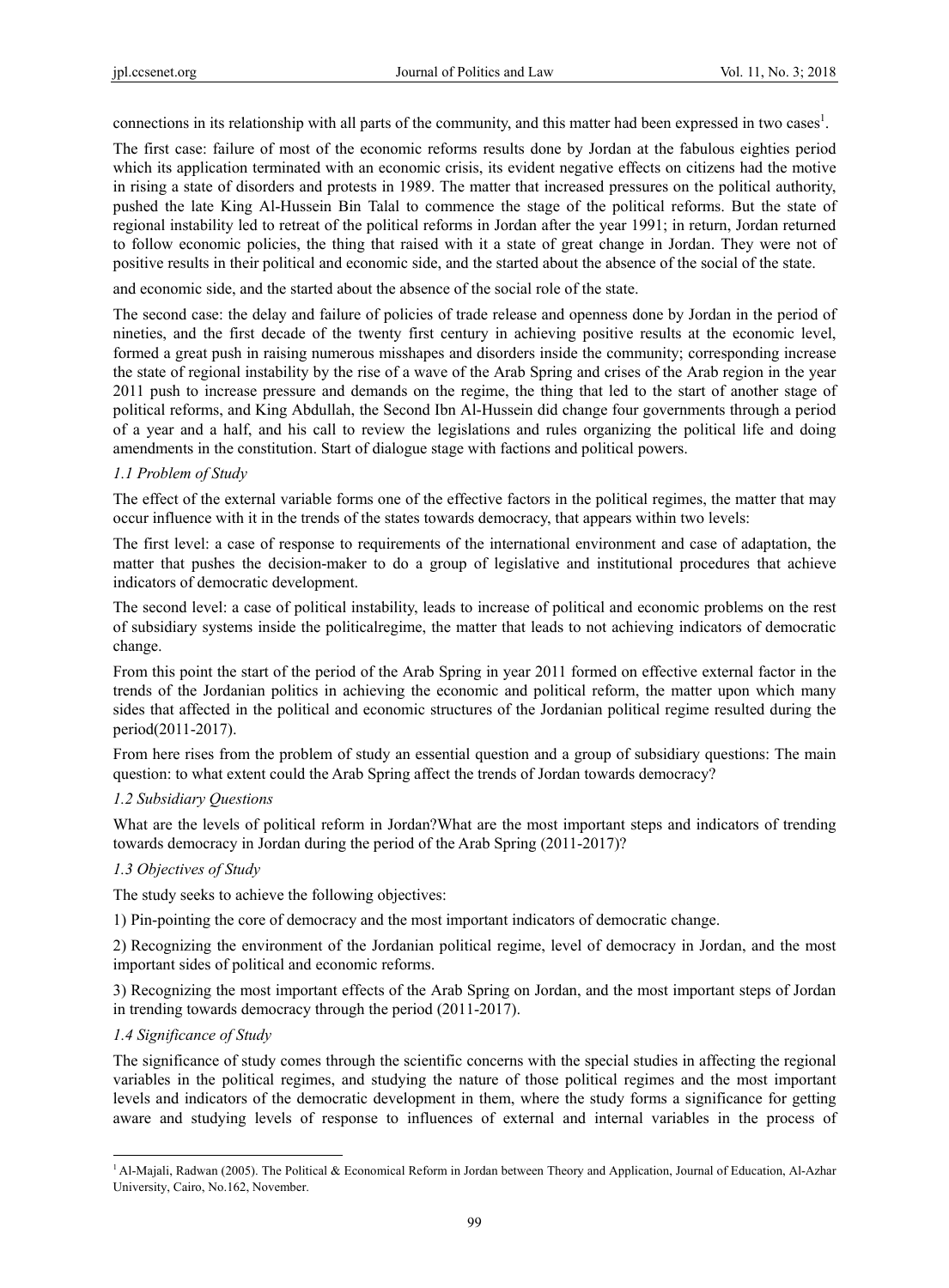connections in its relationship with all parts of the community, and this matter had been expressed in two cases<sup>1</sup>.

The first case: failure of most of the economic reforms results done by Jordan at the fabulous eighties period which its application terminated with an economic crisis, its evident negative effects on citizens had the motive in rising a state of disorders and protests in 1989. The matter that increased pressures on the political authority, pushed the late King Al-Hussein Bin Talal to commence the stage of the political reforms. But the state of regional instability led to retreat of the political reforms in Jordan after the year 1991; in return, Jordan returned to follow economic policies, the thing that raised with it a state of great change in Jordan. They were not of positive results in their political and economic side, and the started about the absence of the social of the state.

and economic side, and the started about the absence of the social role of the state.

The second case: the delay and failure of policies of trade release and openness done by Jordan in the period of nineties, and the first decade of the twenty first century in achieving positive results at the economic level, formed a great push in raising numerous misshapes and disorders inside the community; corresponding increase the state of regional instability by the rise of a wave of the Arab Spring and crises of the Arab region in the year 2011 push to increase pressure and demands on the regime, the thing that led to the start of another stage of political reforms, and King Abdullah, the Second Ibn Al-Hussein did change four governments through a period of a year and a half, and his call to review the legislations and rules organizing the political life and doing amendments in the constitution. Start of dialogue stage with factions and political powers.

# *1.1 Problem of Study*

The effect of the external variable forms one of the effective factors in the political regimes, the matter that may occur influence with it in the trends of the states towards democracy, that appears within two levels:

The first level: a case of response to requirements of the international environment and case of adaptation, the matter that pushes the decision-maker to do a group of legislative and institutional procedures that achieve indicators of democratic development.

The second level: a case of political instability, leads to increase of political and economic problems on the rest of subsidiary systems inside the politicalregime, the matter that leads to not achieving indicators of democratic change.

From this point the start of the period of the Arab Spring in year 2011 formed on effective external factor in the trends of the Jordanian politics in achieving the economic and political reform, the matter upon which many sides that affected in the political and economic structures of the Jordanian political regime resulted during the period(2011-2017).

From here rises from the problem of study an essential question and a group of subsidiary questions: The main question: to what extent could the Arab Spring affect the trends of Jordan towards democracy?

## *1.2 Subsidiary Questions*

What are the levels of political reform in Jordan?What are the most important steps and indicators of trending towards democracy in Jordan during the period of the Arab Spring (2011-2017)?

## *1.3 Objectives of Study*

The study seeks to achieve the following objectives:

1) Pin-pointing the core of democracy and the most important indicators of democratic change.

2) Recognizing the environment of the Jordanian political regime, level of democracy in Jordan, and the most important sides of political and economic reforms.

3) Recognizing the most important effects of the Arab Spring on Jordan, and the most important steps of Jordan in trending towards democracy through the period (2011-2017).

## *1.4 Significance of Study*

 $\overline{a}$ 

The significance of study comes through the scientific concerns with the special studies in affecting the regional variables in the political regimes, and studying the nature of those political regimes and the most important levels and indicators of the democratic development in them, where the study forms a significance for getting aware and studying levels of response to influences of external and internal variables in the process of

<sup>&</sup>lt;sup>1</sup> Al-Majali, Radwan (2005). The Political & Economical Reform in Jordan between Theory and Application, Journal of Education, Al-Azhar University, Cairo, No.162, November.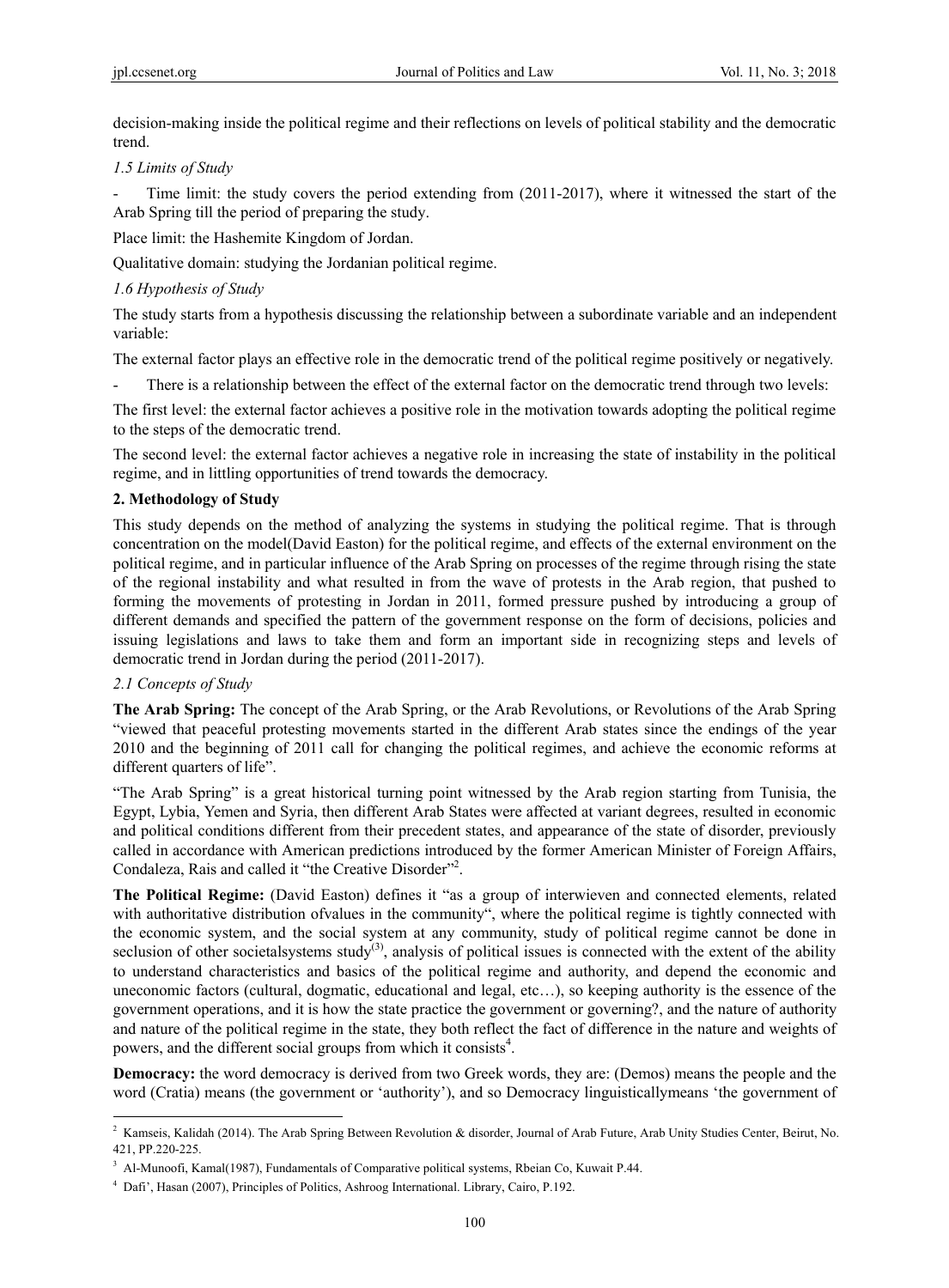decision-making inside the political regime and their reflections on levels of political stability and the democratic trend.

*1.5 Limits of Study* 

Time limit: the study covers the period extending from (2011-2017), where it witnessed the start of the Arab Spring till the period of preparing the study.

Place limit: the Hashemite Kingdom of Jordan.

Qualitative domain: studying the Jordanian political regime.

#### *1.6 Hypothesis of Study*

The study starts from a hypothesis discussing the relationship between a subordinate variable and an independent variable:

The external factor plays an effective role in the democratic trend of the political regime positively or negatively.

There is a relationship between the effect of the external factor on the democratic trend through two levels:

The first level: the external factor achieves a positive role in the motivation towards adopting the political regime to the steps of the democratic trend.

The second level: the external factor achieves a negative role in increasing the state of instability in the political regime, and in littling opportunities of trend towards the democracy.

#### **2. Methodology of Study**

This study depends on the method of analyzing the systems in studying the political regime. That is through concentration on the model(David Easton) for the political regime, and effects of the external environment on the political regime, and in particular influence of the Arab Spring on processes of the regime through rising the state of the regional instability and what resulted in from the wave of protests in the Arab region, that pushed to forming the movements of protesting in Jordan in 2011, formed pressure pushed by introducing a group of different demands and specified the pattern of the government response on the form of decisions, policies and issuing legislations and laws to take them and form an important side in recognizing steps and levels of democratic trend in Jordan during the period (2011-2017).

## *2.1 Concepts of Study*

 $\overline{a}$ 

**The Arab Spring:** The concept of the Arab Spring, or the Arab Revolutions, or Revolutions of the Arab Spring "viewed that peaceful protesting movements started in the different Arab states since the endings of the year 2010 and the beginning of 2011 call for changing the political regimes, and achieve the economic reforms at different quarters of life".

"The Arab Spring" is a great historical turning point witnessed by the Arab region starting from Tunisia, the Egypt, Lybia, Yemen and Syria, then different Arab States were affected at variant degrees, resulted in economic and political conditions different from their precedent states, and appearance of the state of disorder, previously called in accordance with American predictions introduced by the former American Minister of Foreign Affairs, Condaleza, Rais and called it "the Creative Disorder"<sup>2</sup>.

**The Political Regime:** (David Easton) defines it "as a group of interwieven and connected elements, related with authoritative distribution of values in the community", where the political regime is tightly connected with the economic system, and the social system at any community, study of political regime cannot be done in seclusion of other societalsystems study<sup>(3)</sup>, analysis of political issues is connected with the extent of the ability to understand characteristics and basics of the political regime and authority, and depend the economic and uneconomic factors (cultural, dogmatic, educational and legal, etc…), so keeping authority is the essence of the government operations, and it is how the state practice the government or governing?, and the nature of authority and nature of the political regime in the state, they both reflect the fact of difference in the nature and weights of powers, and the different social groups from which it consists<sup>4</sup>.

**Democracy:** the word democracy is derived from two Greek words, they are: (Demos) means the people and the word (Cratia) means (the government or 'authority'), and so Democracy linguisticallymeans 'the government of

<sup>&</sup>lt;sup>2</sup> Kamseis, Kalidah (2014). The Arab Spring Between Revolution & disorder, Journal of Arab Future, Arab Unity Studies Center, Beirut, No. 421, PP.220-225.

<sup>&</sup>lt;sup>3</sup> Al-Munoofi, Kamal(1987), Fundamentals of Comparative political systems, Rbeian Co, Kuwait P.44.

<sup>4</sup> Dafi', Hasan (2007), Principles of Politics, Ashroog International. Library, Cairo, P.192.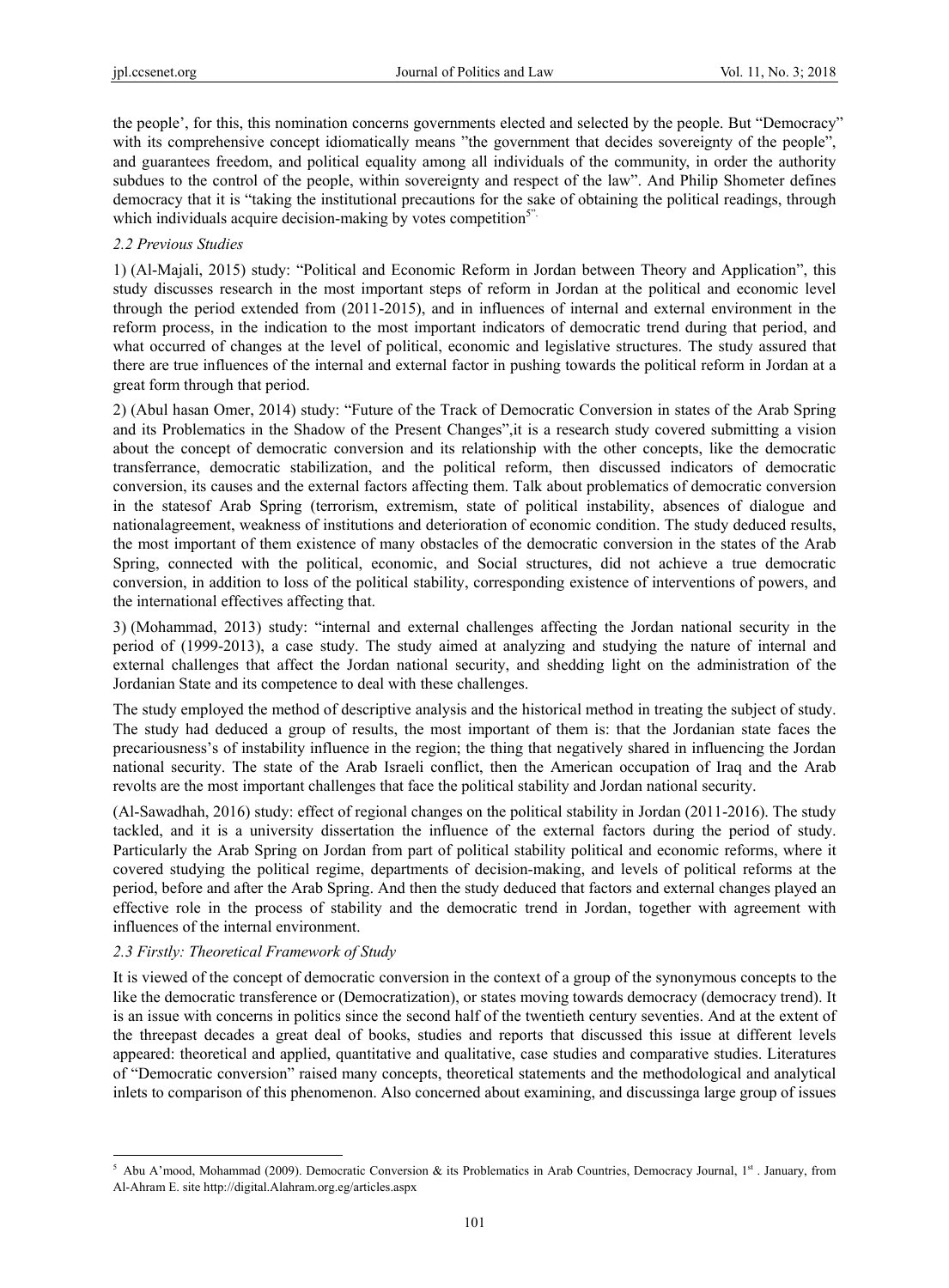the people', for this, this nomination concerns governments elected and selected by the people. But "Democracy" with its comprehensive concept idiomatically means "the government that decides sovereignty of the people", and guarantees freedom, and political equality among all individuals of the community, in order the authority subdues to the control of the people, within sovereignty and respect of the law". And Philip Shometer defines democracy that it is "taking the institutional precautions for the sake of obtaining the political readings, through which individuals acquire decision-making by votes competition $5$ ".

# *2.2 Previous Studies*

1) (Al-Majali, 2015) study: "Political and Economic Reform in Jordan between Theory and Application", this study discusses research in the most important steps of reform in Jordan at the political and economic level through the period extended from (2011-2015), and in influences of internal and external environment in the reform process, in the indication to the most important indicators of democratic trend during that period, and what occurred of changes at the level of political, economic and legislative structures. The study assured that there are true influences of the internal and external factor in pushing towards the political reform in Jordan at a great form through that period.

2) (Abul hasan Omer, 2014) study: "Future of the Track of Democratic Conversion in states of the Arab Spring and its Problematics in the Shadow of the Present Changes", it is a research study covered submitting a vision about the concept of democratic conversion and its relationship with the other concepts, like the democratic transferrance, democratic stabilization, and the political reform, then discussed indicators of democratic conversion, its causes and the external factors affecting them. Talk about problematics of democratic conversion in the statesof Arab Spring (terrorism, extremism, state of political instability, absences of dialogue and nationalagreement, weakness of institutions and deterioration of economic condition. The study deduced results, the most important of them existence of many obstacles of the democratic conversion in the states of the Arab Spring, connected with the political, economic, and Social structures, did not achieve a true democratic conversion, in addition to loss of the political stability, corresponding existence of interventions of powers, and the international effectives affecting that.

3) (Mohammad, 2013) study: "internal and external challenges affecting the Jordan national security in the period of (1999-2013), a case study. The study aimed at analyzing and studying the nature of internal and external challenges that affect the Jordan national security, and shedding light on the administration of the Jordanian State and its competence to deal with these challenges.

The study employed the method of descriptive analysis and the historical method in treating the subject of study. The study had deduced a group of results, the most important of them is: that the Jordanian state faces the precariousness's of instability influence in the region; the thing that negatively shared in influencing the Jordan national security. The state of the Arab Israeli conflict, then the American occupation of Iraq and the Arab revolts are the most important challenges that face the political stability and Jordan national security.

(Al-Sawadhah, 2016) study: effect of regional changes on the political stability in Jordan (2011-2016). The study tackled, and it is a university dissertation the influence of the external factors during the period of study. Particularly the Arab Spring on Jordan from part of political stability political and economic reforms, where it covered studying the political regime, departments of decision-making, and levels of political reforms at the period, before and after the Arab Spring. And then the study deduced that factors and external changes played an effective role in the process of stability and the democratic trend in Jordan, together with agreement with influences of the internal environment.

## *2.3 Firstly: Theoretical Framework of Study*

 $\overline{a}$ 

It is viewed of the concept of democratic conversion in the context of a group of the synonymous concepts to the like the democratic transference or (Democratization), or states moving towards democracy (democracy trend). It is an issue with concerns in politics since the second half of the twentieth century seventies. And at the extent of the threepast decades a great deal of books, studies and reports that discussed this issue at different levels appeared: theoretical and applied, quantitative and qualitative, case studies and comparative studies. Literatures of "Democratic conversion" raised many concepts, theoretical statements and the methodological and analytical inlets to comparison of this phenomenon. Also concerned about examining, and discussinga large group of issues

<sup>&</sup>lt;sup>5</sup> Abu A'mood, Mohammad (2009). Democratic Conversion & its Problematics in Arab Countries, Democracy Journal, 1<sup>st</sup>. January, from Al-Ahram E. site http://digital.Alahram.org.eg/articles.aspx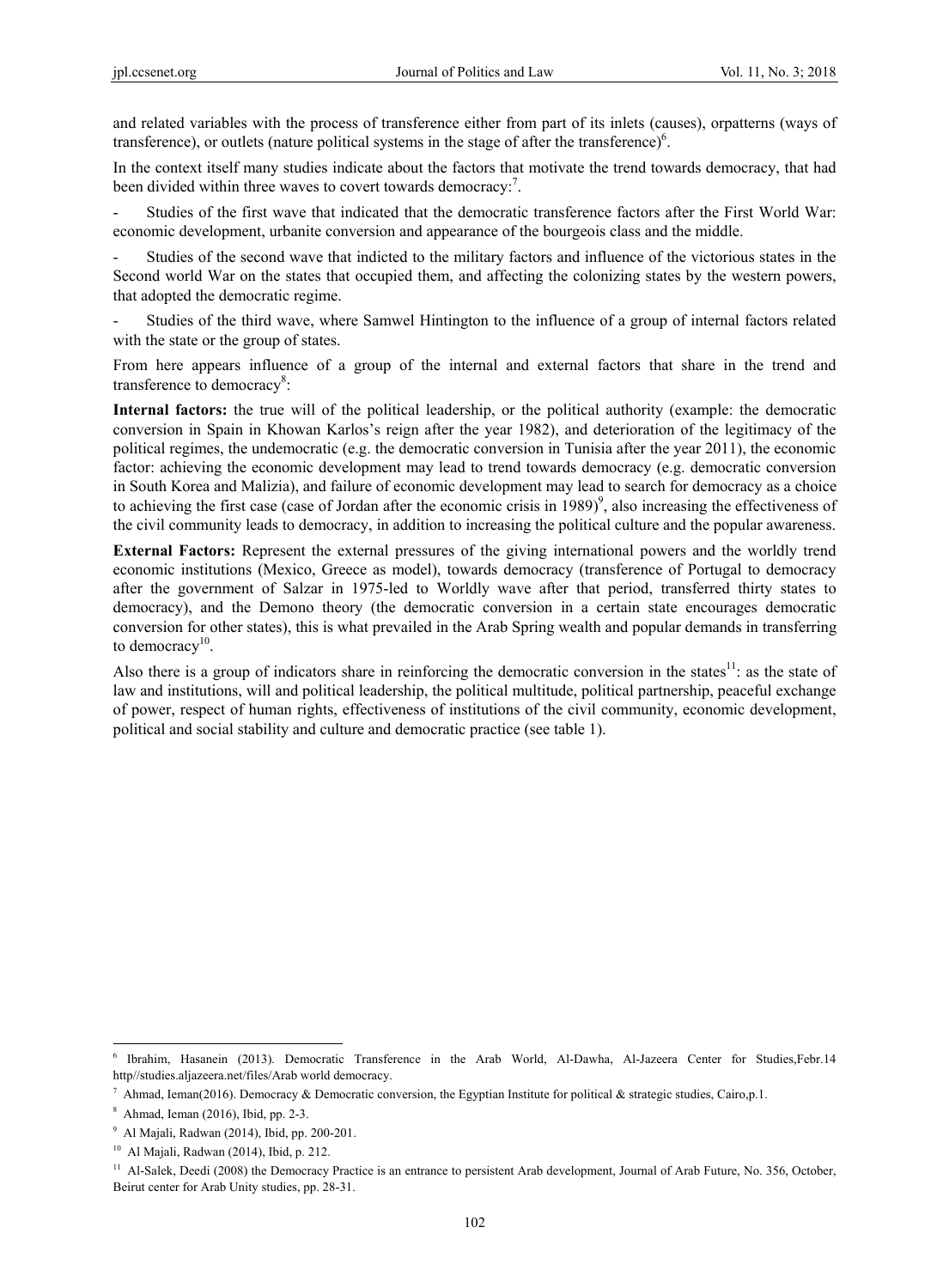and related variables with the process of transference either from part of its inlets (causes), orpatterns (ways of transference), or outlets (nature political systems in the stage of after the transference) $6$ .

In the context itself many studies indicate about the factors that motivate the trend towards democracy, that had been divided within three waves to covert towards democracy.<sup>7</sup>.

- Studies of the first wave that indicated that the democratic transference factors after the First World War: economic development, urbanite conversion and appearance of the bourgeois class and the middle.

- Studies of the second wave that indicted to the military factors and influence of the victorious states in the Second world War on the states that occupied them, and affecting the colonizing states by the western powers, that adopted the democratic regime.

- Studies of the third wave, where Samwel Hintington to the influence of a group of internal factors related with the state or the group of states.

From here appears influence of a group of the internal and external factors that share in the trend and transference to democracy<sup>8</sup>:

**Internal factors:** the true will of the political leadership, or the political authority (example: the democratic conversion in Spain in Khowan Karlos's reign after the year 1982), and deterioration of the legitimacy of the political regimes, the undemocratic (e.g. the democratic conversion in Tunisia after the year 2011), the economic factor: achieving the economic development may lead to trend towards democracy (e.g. democratic conversion in South Korea and Malizia), and failure of economic development may lead to search for democracy as a choice to achieving the first case (case of Jordan after the economic crisis in 1989)<sup>9</sup>, also increasing the effectiveness of the civil community leads to democracy, in addition to increasing the political culture and the popular awareness.

**External Factors:** Represent the external pressures of the giving international powers and the worldly trend economic institutions (Mexico, Greece as model), towards democracy (transference of Portugal to democracy after the government of Salzar in 1975-led to Worldly wave after that period, transferred thirty states to democracy), and the Demono theory (the democratic conversion in a certain state encourages democratic conversion for other states), this is what prevailed in the Arab Spring wealth and popular demands in transferring to democracy<sup>10</sup>.

Also there is a group of indicators share in reinforcing the democratic conversion in the states<sup>11</sup>: as the state of law and institutions, will and political leadership, the political multitude, political partnership, peaceful exchange of power, respect of human rights, effectiveness of institutions of the civil community, economic development, political and social stability and culture and democratic practice (see table 1).

<sup>6</sup> Ibrahim, Hasanein (2013). Democratic Transference in the Arab World, Al-Dawha, Al-Jazeera Center for Studies,Febr.14 http//studies.aljazeera.net/files/Arab world democracy.

Ahmad, Ieman(2016). Democracy & Democratic conversion, the Egyptian Institute for political & strategic studies, Cairo,p.1.

<sup>8</sup> Ahmad, Ieman (2016), Ibid, pp. 2-3.

<sup>9</sup> Al Majali, Radwan (2014), Ibid, pp. 200-201.

<sup>10</sup> Al Majali, Radwan (2014), Ibid, p. 212.

<sup>&</sup>lt;sup>11</sup> Al-Salek, Deedi (2008) the Democracy Practice is an entrance to persistent Arab development, Journal of Arab Future, No. 356, October, Beirut center for Arab Unity studies, pp. 28-31.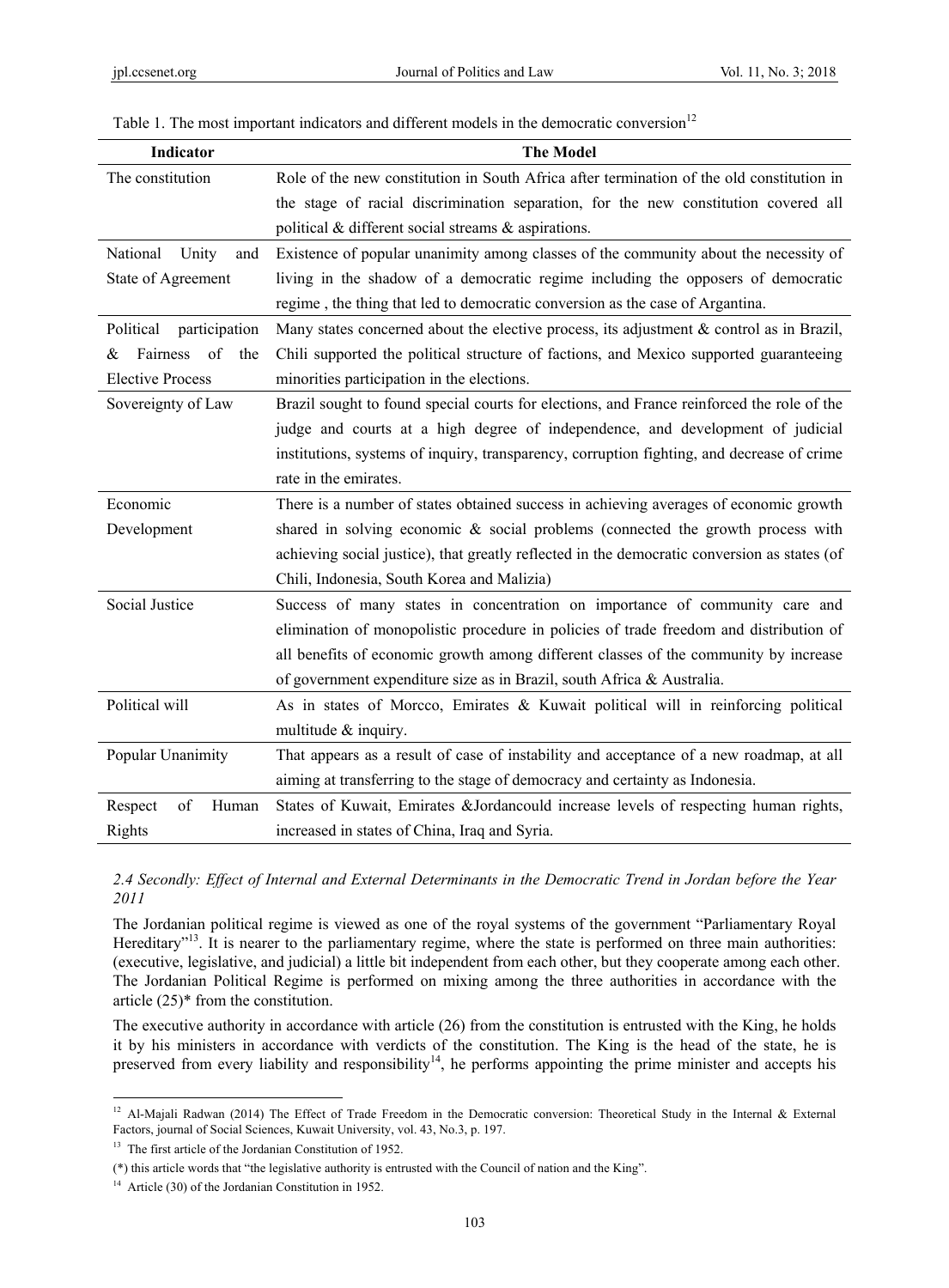|  |  |  |  |  | Table 1. The most important indicators and different models in the democratic conversion <sup>12</sup> |
|--|--|--|--|--|--------------------------------------------------------------------------------------------------------|
|  |  |  |  |  |                                                                                                        |

| Indicator                  | <b>The Model</b>                                                                             |
|----------------------------|----------------------------------------------------------------------------------------------|
| The constitution           | Role of the new constitution in South Africa after termination of the old constitution in    |
|                            | the stage of racial discrimination separation, for the new constitution covered all          |
|                            | political & different social streams & aspirations.                                          |
| National<br>Unity<br>and   | Existence of popular unanimity among classes of the community about the necessity of         |
| State of Agreement         | living in the shadow of a democratic regime including the opposers of democratic             |
|                            | regime, the thing that led to democratic conversion as the case of Argantina.                |
| Political<br>participation | Many states concerned about the elective process, its adjustment & control as in Brazil,     |
| Fairness<br>of<br>the<br>& | Chili supported the political structure of factions, and Mexico supported guaranteeing       |
| <b>Elective Process</b>    | minorities participation in the elections.                                                   |
| Sovereignty of Law         | Brazil sought to found special courts for elections, and France reinforced the role of the   |
|                            | judge and courts at a high degree of independence, and development of judicial               |
|                            | institutions, systems of inquiry, transparency, corruption fighting, and decrease of crime   |
|                            | rate in the emirates.                                                                        |
| Economic                   | There is a number of states obtained success in achieving averages of economic growth        |
| Development                | shared in solving economic $\&$ social problems (connected the growth process with           |
|                            | achieving social justice), that greatly reflected in the democratic conversion as states (of |
|                            | Chili, Indonesia, South Korea and Malizia)                                                   |
| Social Justice             | Success of many states in concentration on importance of community care and                  |
|                            | elimination of monopolistic procedure in policies of trade freedom and distribution of       |
|                            | all benefits of economic growth among different classes of the community by increase         |
|                            | of government expenditure size as in Brazil, south Africa & Australia.                       |
| Political will             | As in states of Morcco, Emirates $\&$ Kuwait political will in reinforcing political         |
|                            | multitude & inquiry.                                                                         |
| Popular Unanimity          | That appears as a result of case of instability and acceptance of a new roadmap, at all      |
|                            | aiming at transferring to the stage of democracy and certainty as Indonesia.                 |
| Respect<br>of<br>Human     | States of Kuwait, Emirates &Jordancould increase levels of respecting human rights,          |
| Rights                     | increased in states of China, Iraq and Syria.                                                |

*2.4 Secondly: Effect of Internal and External Determinants in the Democratic Trend in Jordan before the Year 2011* 

The Jordanian political regime is viewed as one of the royal systems of the government "Parliamentary Royal Hereditary<sup>"13</sup>. It is nearer to the parliamentary regime, where the state is performed on three main authorities: (executive, legislative, and judicial) a little bit independent from each other, but they cooperate among each other. The Jordanian Political Regime is performed on mixing among the three authorities in accordance with the article (25)\* from the constitution.

The executive authority in accordance with article (26) from the constitution is entrusted with the King, he holds it by his ministers in accordance with verdicts of the constitution. The King is the head of the state, he is preserved from every liability and responsibility<sup>14</sup>, he performs appointing the prime minister and accepts his

<sup>&</sup>lt;sup>12</sup> Al-Majali Radwan (2014) The Effect of Trade Freedom in the Democratic conversion: Theoretical Study in the Internal & External Factors, journal of Social Sciences, Kuwait University, vol. 43, No.3, p. 197.

<sup>&</sup>lt;sup>13</sup> The first article of the Jordanian Constitution of 1952.

<sup>(\*)</sup> this article words that "the legislative authority is entrusted with the Council of nation and the King".

<sup>&</sup>lt;sup>14</sup> Article (30) of the Jordanian Constitution in 1952.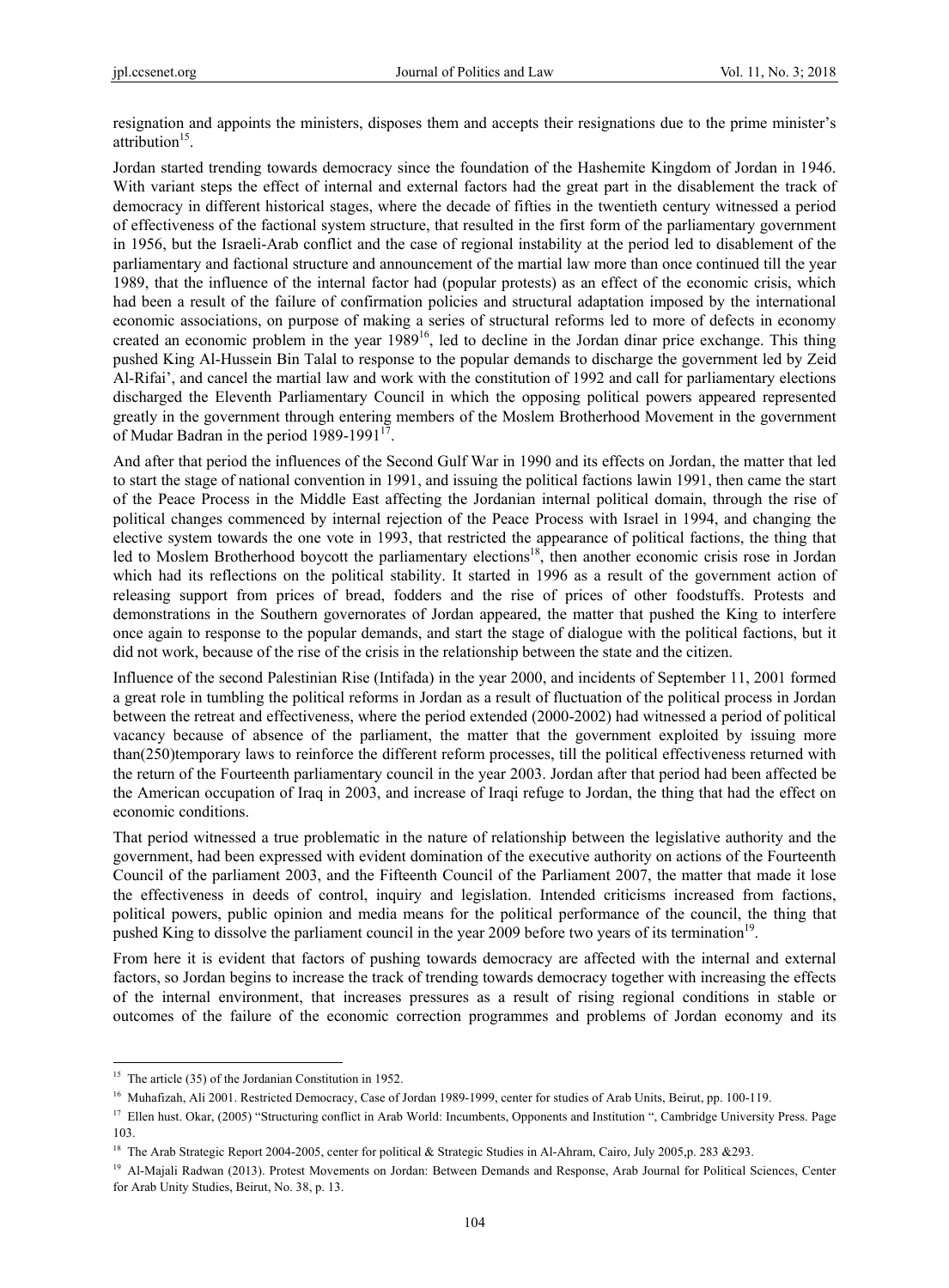resignation and appoints the ministers, disposes them and accepts their resignations due to the prime minister's attribution<sup>15</sup>.

Jordan started trending towards democracy since the foundation of the Hashemite Kingdom of Jordan in 1946. With variant steps the effect of internal and external factors had the great part in the disablement the track of democracy in different historical stages, where the decade of fifties in the twentieth century witnessed a period of effectiveness of the factional system structure, that resulted in the first form of the parliamentary government in 1956, but the Israeli-Arab conflict and the case of regional instability at the period led to disablement of the parliamentary and factional structure and announcement of the martial law more than once continued till the year 1989, that the influence of the internal factor had (popular protests) as an effect of the economic crisis, which had been a result of the failure of confirmation policies and structural adaptation imposed by the international economic associations, on purpose of making a series of structural reforms led to more of defects in economy created an economic problem in the year 198916, led to decline in the Jordan dinar price exchange. This thing pushed King Al-Hussein Bin Talal to response to the popular demands to discharge the government led by Zeid Al-Rifai', and cancel the martial law and work with the constitution of 1992 and call for parliamentary elections discharged the Eleventh Parliamentary Council in which the opposing political powers appeared represented greatly in the government through entering members of the Moslem Brotherhood Movement in the government of Mudar Badran in the period 1989-1991<sup>17</sup>.

And after that period the influences of the Second Gulf War in 1990 and its effects on Jordan, the matter that led to start the stage of national convention in 1991, and issuing the political factions lawin 1991, then came the start of the Peace Process in the Middle East affecting the Jordanian internal political domain, through the rise of political changes commenced by internal rejection of the Peace Process with Israel in 1994, and changing the elective system towards the one vote in 1993, that restricted the appearance of political factions, the thing that led to Moslem Brotherhood boycott the parliamentary elections<sup>18</sup>, then another economic crisis rose in Jordan which had its reflections on the political stability. It started in 1996 as a result of the government action of releasing support from prices of bread, fodders and the rise of prices of other foodstuffs. Protests and demonstrations in the Southern governorates of Jordan appeared, the matter that pushed the King to interfere once again to response to the popular demands, and start the stage of dialogue with the political factions, but it did not work, because of the rise of the crisis in the relationship between the state and the citizen.

Influence of the second Palestinian Rise (Intifada) in the year 2000, and incidents of September 11, 2001 formed a great role in tumbling the political reforms in Jordan as a result of fluctuation of the political process in Jordan between the retreat and effectiveness, where the period extended (2000-2002) had witnessed a period of political vacancy because of absence of the parliament, the matter that the government exploited by issuing more than(250)temporary laws to reinforce the different reform processes, till the political effectiveness returned with the return of the Fourteenth parliamentary council in the year 2003. Jordan after that period had been affected be the American occupation of Iraq in 2003, and increase of Iraqi refuge to Jordan, the thing that had the effect on economic conditions.

That period witnessed a true problematic in the nature of relationship between the legislative authority and the government, had been expressed with evident domination of the executive authority on actions of the Fourteenth Council of the parliament 2003, and the Fifteenth Council of the Parliament 2007, the matter that made it lose the effectiveness in deeds of control, inquiry and legislation. Intended criticisms increased from factions, political powers, public opinion and media means for the political performance of the council, the thing that pushed King to dissolve the parliament council in the year 2009 before two years of its termination<sup>19</sup>.

From here it is evident that factors of pushing towards democracy are affected with the internal and external factors, so Jordan begins to increase the track of trending towards democracy together with increasing the effects of the internal environment, that increases pressures as a result of rising regional conditions in stable or outcomes of the failure of the economic correction programmes and problems of Jordan economy and its

<sup>&</sup>lt;sup>15</sup> The article (35) of the Jordanian Constitution in 1952.

<sup>&</sup>lt;sup>16</sup> Muhafizah, Ali 2001. Restricted Democracy, Case of Jordan 1989-1999, center for studies of Arab Units, Beirut, pp. 100-119.

<sup>&</sup>lt;sup>17</sup> Ellen hust. Okar, (2005) "Structuring conflict in Arab World: Incumbents, Opponents and Institution ", Cambridge University Press. Page 103.

<sup>&</sup>lt;sup>18</sup> The Arab Strategic Report 2004-2005, center for political & Strategic Studies in Al-Ahram, Cairo, July 2005,p. 283 &293.

<sup>&</sup>lt;sup>19</sup> Al-Majali Radwan (2013). Protest Movements on Jordan: Between Demands and Response, Arab Journal for Political Sciences, Center for Arab Unity Studies, Beirut, No. 38, p. 13.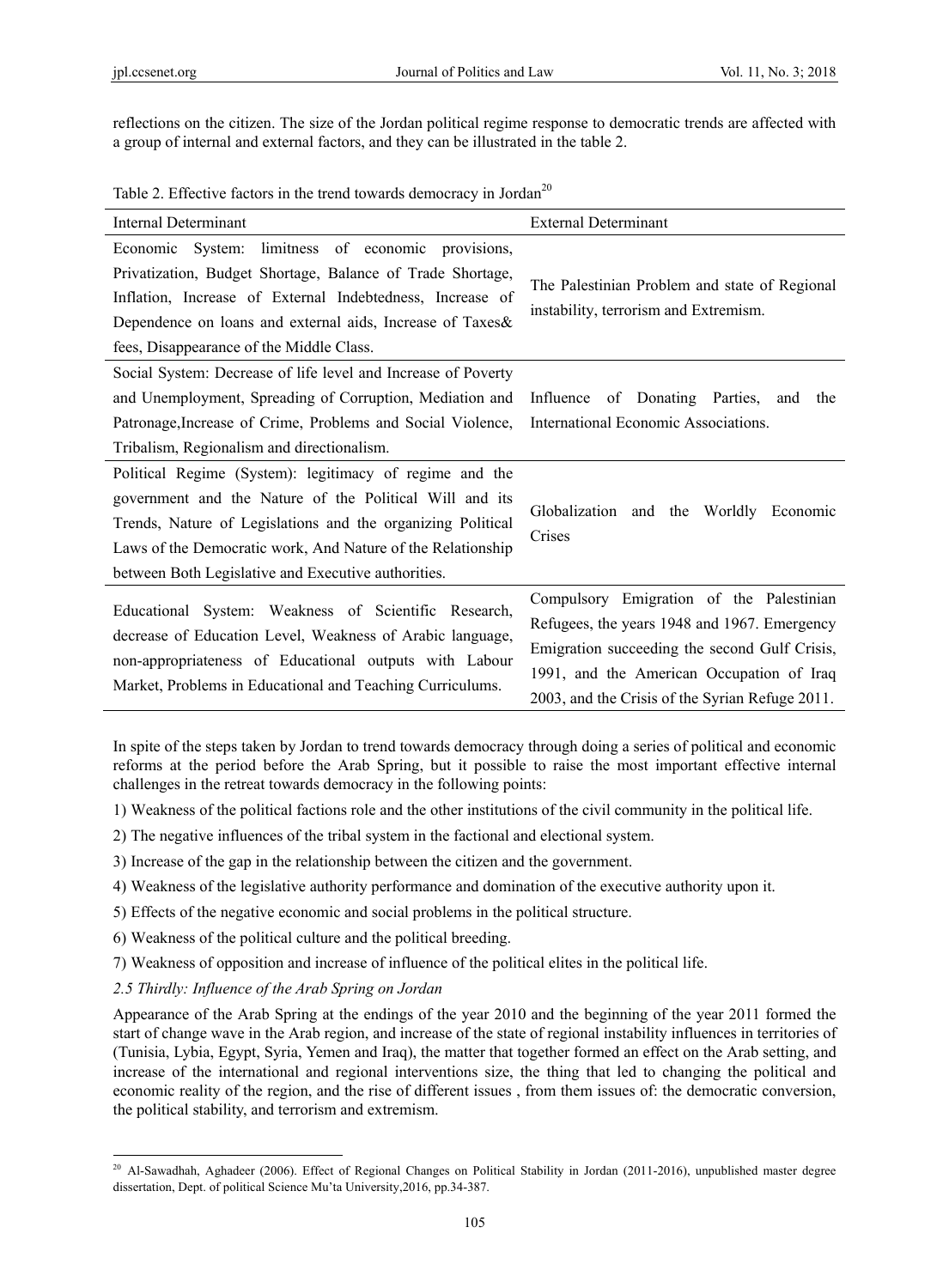reflections on the citizen. The size of the Jordan political regime response to democratic trends are affected with a group of internal and external factors, and they can be illustrated in the table 2.

Table 2. Effective factors in the trend towards democracy in Jordan<sup>20</sup>

| Internal Determinant                                                                                                                                                                                                                                                                                    | <b>External Determinant</b>                                                                                                                                                                                                               |
|---------------------------------------------------------------------------------------------------------------------------------------------------------------------------------------------------------------------------------------------------------------------------------------------------------|-------------------------------------------------------------------------------------------------------------------------------------------------------------------------------------------------------------------------------------------|
| System: limitness of economic provisions,<br>Economic<br>Privatization, Budget Shortage, Balance of Trade Shortage,<br>Inflation, Increase of External Indebtedness, Increase of<br>Dependence on loans and external aids, Increase of Taxes&<br>fees, Disappearance of the Middle Class.               | The Palestinian Problem and state of Regional<br>instability, terrorism and Extremism.                                                                                                                                                    |
| Social System: Decrease of life level and Increase of Poverty<br>and Unemployment, Spreading of Corruption, Mediation and Influence of Donating Parties, and the<br>Patronage, Increase of Crime, Problems and Social Violence,<br>Tribalism, Regionalism and directionalism.                           | International Economic Associations.                                                                                                                                                                                                      |
| Political Regime (System): legitimacy of regime and the<br>government and the Nature of the Political Will and its<br>Trends, Nature of Legislations and the organizing Political<br>Laws of the Democratic work, And Nature of the Relationship<br>between Both Legislative and Executive authorities. | Globalization and the Worldly Economic<br>Crises                                                                                                                                                                                          |
| Educational System: Weakness of Scientific Research,<br>decrease of Education Level, Weakness of Arabic language,<br>non-appropriateness of Educational outputs with Labour<br>Market, Problems in Educational and Teaching Curriculums.                                                                | Compulsory Emigration of the Palestinian<br>Refugees, the years 1948 and 1967. Emergency<br>Emigration succeeding the second Gulf Crisis,<br>1991, and the American Occupation of Iraq<br>2003, and the Crisis of the Syrian Refuge 2011. |

In spite of the steps taken by Jordan to trend towards democracy through doing a series of political and economic reforms at the period before the Arab Spring, but it possible to raise the most important effective internal challenges in the retreat towards democracy in the following points:

- 1) Weakness of the political factions role and the other institutions of the civil community in the political life.
- 2) The negative influences of the tribal system in the factional and electional system.
- 3) Increase of the gap in the relationship between the citizen and the government.
- 4) Weakness of the legislative authority performance and domination of the executive authority upon it.
- 5) Effects of the negative economic and social problems in the political structure.
- 6) Weakness of the political culture and the political breeding.
- 7) Weakness of opposition and increase of influence of the political elites in the political life.
- *2.5 Thirdly: Influence of the Arab Spring on Jordan*

 $\overline{a}$ 

Appearance of the Arab Spring at the endings of the year 2010 and the beginning of the year 2011 formed the start of change wave in the Arab region, and increase of the state of regional instability influences in territories of (Tunisia, Lybia, Egypt, Syria, Yemen and Iraq), the matter that together formed an effect on the Arab setting, and increase of the international and regional interventions size, the thing that led to changing the political and economic reality of the region, and the rise of different issues , from them issues of: the democratic conversion, the political stability, and terrorism and extremism.

 $^{20}$  Al-Sawadhah, Aghadeer (2006). Effect of Regional Changes on Political Stability in Jordan (2011-2016), unpublished master degree dissertation, Dept. of political Science Mu'ta University,2016, pp.34-387.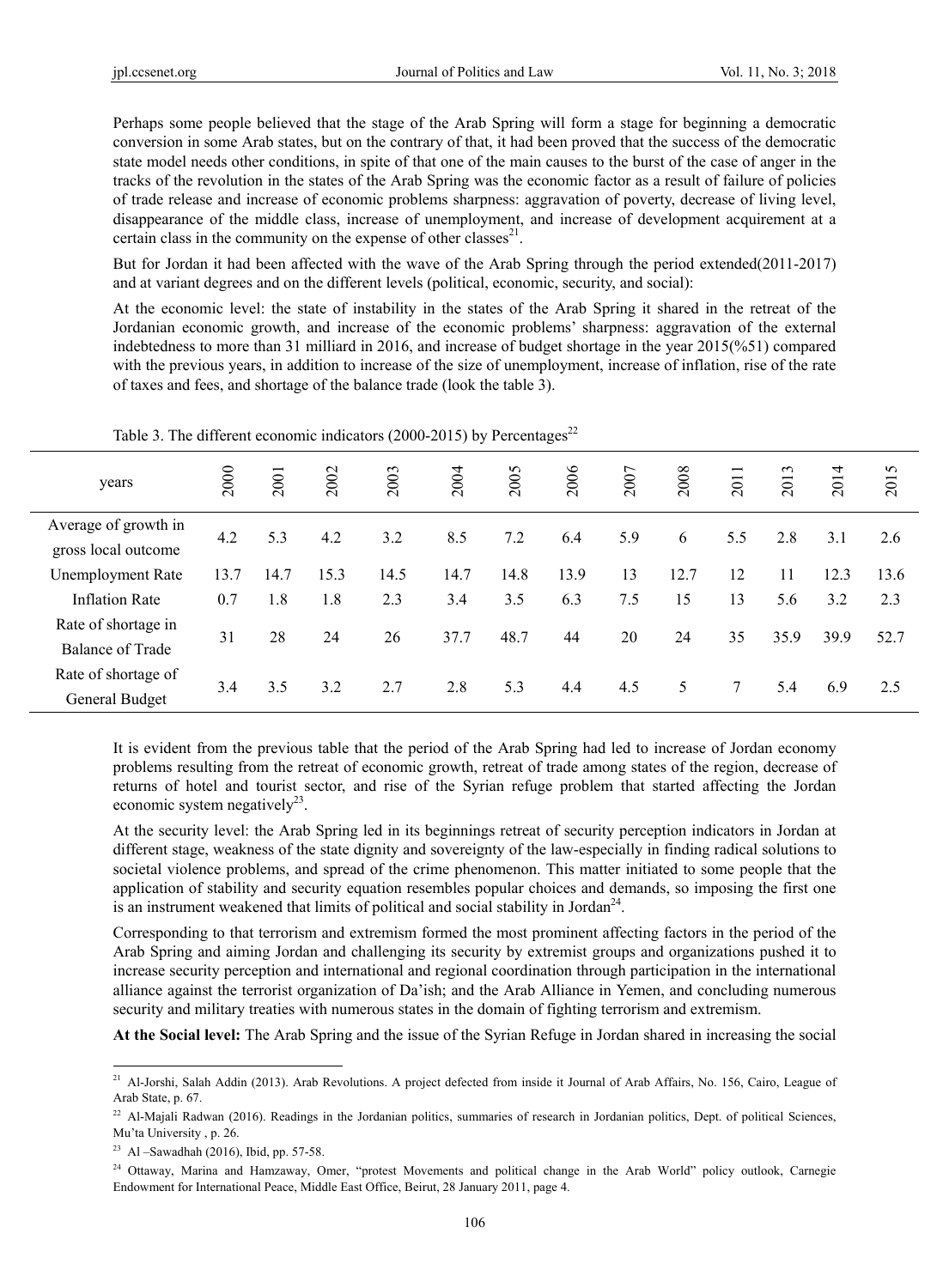Perhaps some people believed that the stage of the Arab Spring will form a stage for beginning a democratic conversion in some Arab states, but on the contrary of that, it had been proved that the success of the democratic state model needs other conditions, in spite of that one of the main causes to the burst of the case of anger in the tracks of the revolution in the states of the Arab Spring was the economic factor as a result of failure of policies of trade release and increase of economic problems sharpness: aggravation of poverty, decrease of living level, disappearance of the middle class, increase of unemployment, and increase of development acquirement at a certain class in the community on the expense of other classes $2<sup>1</sup>$ .

But for Jordan it had been affected with the wave of the Arab Spring through the period extended(2011-2017) and at variant degrees and on the different levels (political, economic, security, and social):

At the economic level: the state of instability in the states of the Arab Spring it shared in the retreat of the Jordanian economic growth, and increase of the economic problems' sharpness: aggravation of the external indebtedness to more than 31 milliard in 2016, and increase of budget shortage in the year 2015(%51) compared with the previous years, in addition to increase of the size of unemployment, increase of inflation, rise of the rate of taxes and fees, and shortage of the balance trade (look the table 3).

| years                                          | 2000 | 2001 | 2002 | 2003 | 2004 | 2005 | 2006 | 2007 | 008  | 201 | 201  | 2014 | S<br>201 |
|------------------------------------------------|------|------|------|------|------|------|------|------|------|-----|------|------|----------|
| Average of growth in<br>gross local outcome    | 4.2  | 5.3  | 4.2  | 3.2  | 8.5  | 7.2  | 6.4  | 5.9  | 6    | 5.5 | 2.8  | 3.1  | 2.6      |
| <b>Unemployment Rate</b>                       | 13.7 | 14.7 | 15.3 | 14.5 | 14.7 | 14.8 | 13.9 | 13   | 12.7 | 12  | 11   | 12.3 | 13.6     |
| <b>Inflation Rate</b>                          | 0.7  | 1.8  | 1.8  | 2.3  | 3.4  | 3.5  | 6.3  | 7.5  | 15   | 13  | 5.6  | 3.2  | 2.3      |
| Rate of shortage in<br><b>Balance of Trade</b> | 31   | 28   | 24   | 26   | 37.7 | 48.7 | 44   | 20   | 24   | 35  | 35.9 | 39.9 | 52.7     |
| Rate of shortage of<br>General Budget          | 3.4  | 3.5  | 3.2  | 2.7  | 2.8  | 5.3  | 4.4  | 4.5  | 5    | 7   | 5.4  | 6.9  | 2.5      |

| Table 3. The different economic indicators (2000-2015) by Percentages <sup>22</sup> |
|-------------------------------------------------------------------------------------|
|-------------------------------------------------------------------------------------|

It is evident from the previous table that the period of the Arab Spring had led to increase of Jordan economy problems resulting from the retreat of economic growth, retreat of trade among states of the region, decrease of returns of hotel and tourist sector, and rise of the Syrian refuge problem that started affecting the Jordan economic system negatively<sup>23</sup>.

At the security level: the Arab Spring led in its beginnings retreat of security perception indicators in Jordan at different stage, weakness of the state dignity and sovereignty of the law-especially in finding radical solutions to societal violence problems, and spread of the crime phenomenon. This matter initiated to some people that the application of stability and security equation resembles popular choices and demands, so imposing the first one is an instrument weakened that limits of political and social stability in Jordan<sup>24</sup>.

Corresponding to that terrorism and extremism formed the most prominent affecting factors in the period of the Arab Spring and aiming Jordan and challenging its security by extremist groups and organizations pushed it to increase security perception and international and regional coordination through participation in the international alliance against the terrorist organization of Da'ish; and the Arab Alliance in Yemen, and concluding numerous security and military treaties with numerous states in the domain of fighting terrorism and extremism.

**At the Social level:** The Arab Spring and the issue of the Syrian Refuge in Jordan shared in increasing the social

<sup>&</sup>lt;sup>21</sup> Al-Jorshi, Salah Addin (2013). Arab Revolutions. A project defected from inside it Journal of Arab Affairs, No. 156, Cairo, League of Arab State, p. 67.

 $^{22}$  Al-Majali Radwan (2016). Readings in the Jordanian politics, summaries of research in Jordanian politics, Dept. of political Sciences, Mu'ta University , p. 26.

<sup>23</sup> Al –Sawadhah (2016), Ibid, pp. 57-58.

<sup>&</sup>lt;sup>24</sup> Ottaway, Marina and Hamzaway, Omer, "protest Movements and political change in the Arab World" policy outlook, Carnegie Endowment for International Peace, Middle East Office, Beirut, 28 January 2011, page 4.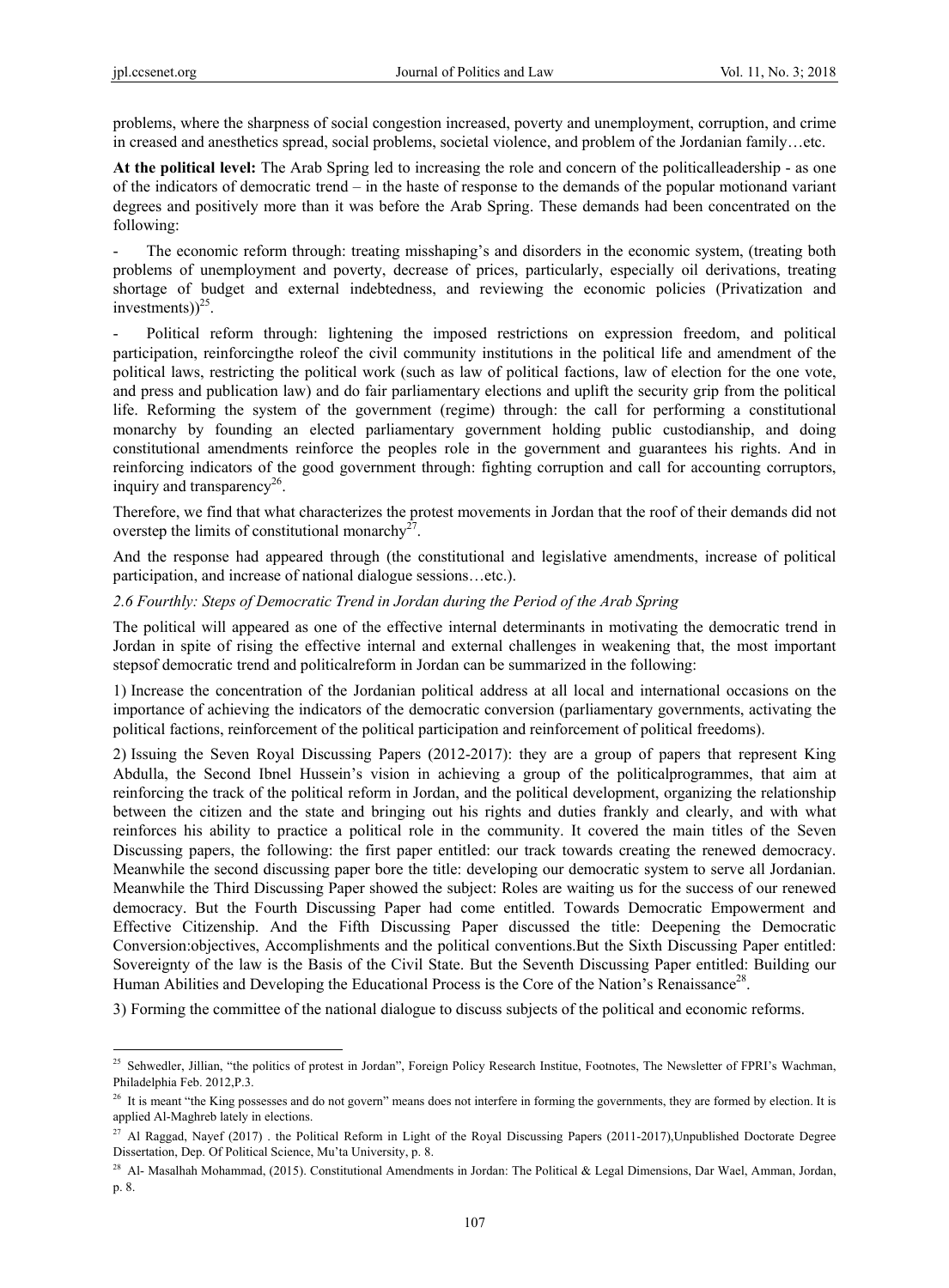$\overline{a}$ 

problems, where the sharpness of social congestion increased, poverty and unemployment, corruption, and crime in creased and anesthetics spread, social problems, societal violence, and problem of the Jordanian family…etc.

**At the political level:** The Arab Spring led to increasing the role and concern of the politicalleadership - as one of the indicators of democratic trend – in the haste of response to the demands of the popular motionand variant degrees and positively more than it was before the Arab Spring. These demands had been concentrated on the following:

The economic reform through: treating misshaping's and disorders in the economic system, (treating both problems of unemployment and poverty, decrease of prices, particularly, especially oil derivations, treating shortage of budget and external indebtedness, and reviewing the economic policies (Privatization and investments $)^{25}$ .

- Political reform through: lightening the imposed restrictions on expression freedom, and political participation, reinforcingthe roleof the civil community institutions in the political life and amendment of the political laws, restricting the political work (such as law of political factions, law of election for the one vote, and press and publication law) and do fair parliamentary elections and uplift the security grip from the political life. Reforming the system of the government (regime) through: the call for performing a constitutional monarchy by founding an elected parliamentary government holding public custodianship, and doing constitutional amendments reinforce the peoples role in the government and guarantees his rights. And in reinforcing indicators of the good government through: fighting corruption and call for accounting corruptors, inquiry and transparency<sup>26</sup>.

Therefore, we find that what characterizes the protest movements in Jordan that the roof of their demands did not overstep the limits of constitutional monarchy $2^7$ .

And the response had appeared through (the constitutional and legislative amendments, increase of political participation, and increase of national dialogue sessions…etc.).

# *2.6 Fourthly: Steps of Democratic Trend in Jordan during the Period of the Arab Spring*

The political will appeared as one of the effective internal determinants in motivating the democratic trend in Jordan in spite of rising the effective internal and external challenges in weakening that, the most important stepsof democratic trend and politicalreform in Jordan can be summarized in the following:

1) Increase the concentration of the Jordanian political address at all local and international occasions on the importance of achieving the indicators of the democratic conversion (parliamentary governments, activating the political factions, reinforcement of the political participation and reinforcement of political freedoms).

2) Issuing the Seven Royal Discussing Papers (2012-2017): they are a group of papers that represent King Abdulla, the Second Ibnel Hussein's vision in achieving a group of the politicalprogrammes, that aim at reinforcing the track of the political reform in Jordan, and the political development, organizing the relationship between the citizen and the state and bringing out his rights and duties frankly and clearly, and with what reinforces his ability to practice a political role in the community. It covered the main titles of the Seven Discussing papers, the following: the first paper entitled: our track towards creating the renewed democracy. Meanwhile the second discussing paper bore the title: developing our democratic system to serve all Jordanian. Meanwhile the Third Discussing Paper showed the subject: Roles are waiting us for the success of our renewed democracy. But the Fourth Discussing Paper had come entitled. Towards Democratic Empowerment and Effective Citizenship. And the Fifth Discussing Paper discussed the title: Deepening the Democratic Conversion:objectives, Accomplishments and the political conventions.But the Sixth Discussing Paper entitled: Sovereignty of the law is the Basis of the Civil State. But the Seventh Discussing Paper entitled: Building our Human Abilities and Developing the Educational Process is the Core of the Nation's Renaissance<sup>28</sup>.

3) Forming the committee of the national dialogue to discuss subjects of the political and economic reforms.

<sup>&</sup>lt;sup>25</sup> Sehwedler, Jillian, "the politics of protest in Jordan", Foreign Policy Research Institue, Footnotes, The Newsletter of FPRI's Wachman, Philadelphia Feb. 2012,P.3.

<sup>&</sup>lt;sup>26</sup> It is meant "the King possesses and do not govern" means does not interfere in forming the governments, they are formed by election. It is applied Al-Maghreb lately in elections.

<sup>&</sup>lt;sup>27</sup> Al Raggad, Nayef (2017) . the Political Reform in Light of the Royal Discussing Papers (2011-2017), Unpublished Doctorate Degree Dissertation, Dep. Of Political Science, Mu'ta University, p. 8.

<sup>&</sup>lt;sup>28</sup> Al- Masalhah Mohammad, (2015). Constitutional Amendments in Jordan: The Political & Legal Dimensions, Dar Wael, Amman, Jordan, p. 8.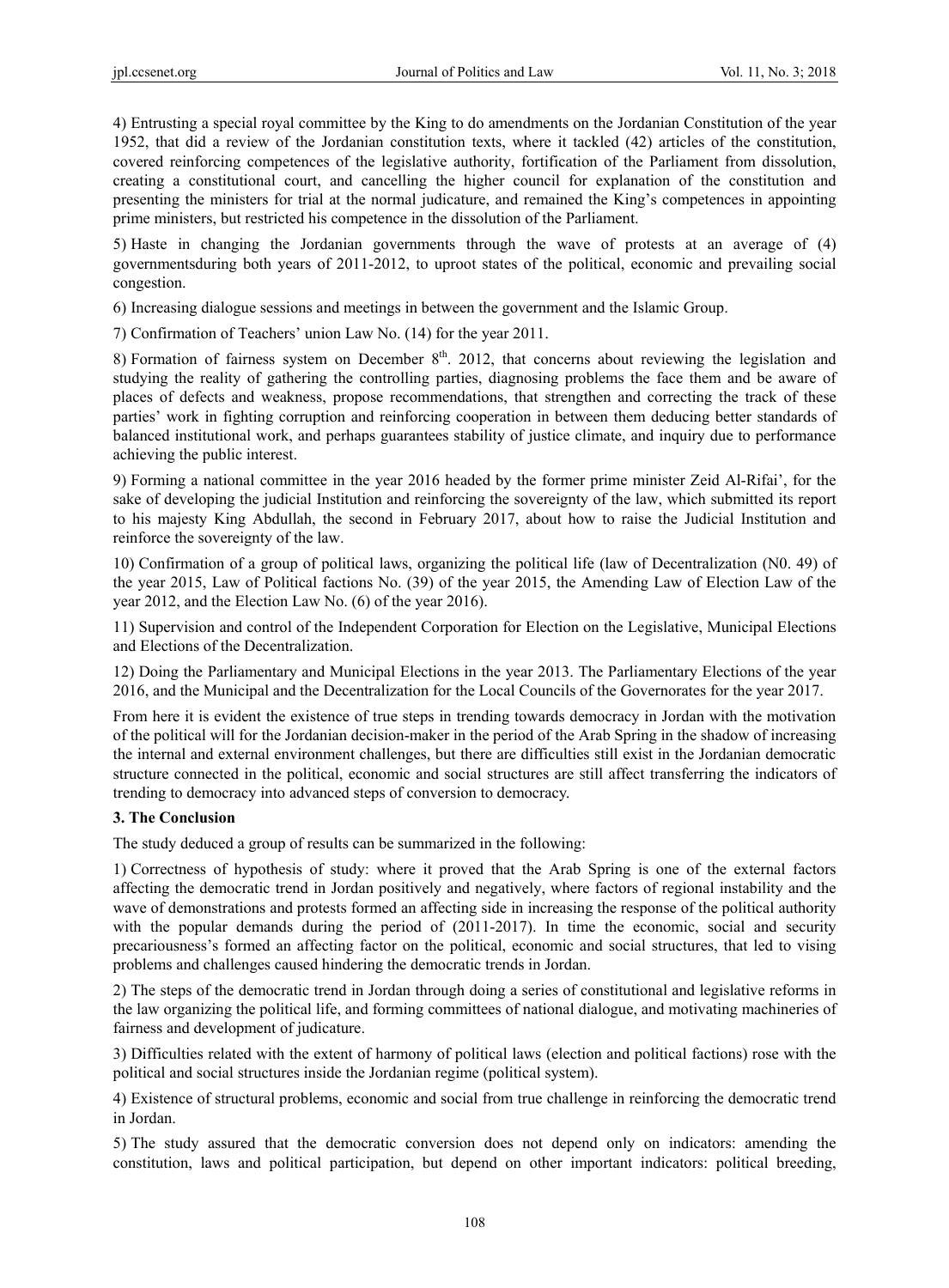4) Entrusting a special royal committee by the King to do amendments on the Jordanian Constitution of the year 1952, that did a review of the Jordanian constitution texts, where it tackled (42) articles of the constitution, covered reinforcing competences of the legislative authority, fortification of the Parliament from dissolution, creating a constitutional court, and cancelling the higher council for explanation of the constitution and presenting the ministers for trial at the normal judicature, and remained the King's competences in appointing prime ministers, but restricted his competence in the dissolution of the Parliament.

5) Haste in changing the Jordanian governments through the wave of protests at an average of (4) governmentsduring both years of 2011-2012, to uproot states of the political, economic and prevailing social congestion.

6) Increasing dialogue sessions and meetings in between the government and the Islamic Group.

7) Confirmation of Teachers' union Law No. (14) for the year 2011.

8) Formation of fairness system on December  $8<sup>th</sup>$ . 2012, that concerns about reviewing the legislation and studying the reality of gathering the controlling parties, diagnosing problems the face them and be aware of places of defects and weakness, propose recommendations, that strengthen and correcting the track of these parties' work in fighting corruption and reinforcing cooperation in between them deducing better standards of balanced institutional work, and perhaps guarantees stability of justice climate, and inquiry due to performance achieving the public interest.

9) Forming a national committee in the year 2016 headed by the former prime minister Zeid Al-Rifai', for the sake of developing the judicial Institution and reinforcing the sovereignty of the law, which submitted its report to his majesty King Abdullah, the second in February 2017, about how to raise the Judicial Institution and reinforce the sovereignty of the law.

10) Confirmation of a group of political laws, organizing the political life (law of Decentralization (N0. 49) of the year 2015, Law of Political factions No. (39) of the year 2015, the Amending Law of Election Law of the year 2012, and the Election Law No. (6) of the year 2016).

11) Supervision and control of the Independent Corporation for Election on the Legislative, Municipal Elections and Elections of the Decentralization.

12) Doing the Parliamentary and Municipal Elections in the year 2013. The Parliamentary Elections of the year 2016, and the Municipal and the Decentralization for the Local Councils of the Governorates for the year 2017.

From here it is evident the existence of true steps in trending towards democracy in Jordan with the motivation of the political will for the Jordanian decision-maker in the period of the Arab Spring in the shadow of increasing the internal and external environment challenges, but there are difficulties still exist in the Jordanian democratic structure connected in the political, economic and social structures are still affect transferring the indicators of trending to democracy into advanced steps of conversion to democracy.

# **3. The Conclusion**

The study deduced a group of results can be summarized in the following:

1) Correctness of hypothesis of study: where it proved that the Arab Spring is one of the external factors affecting the democratic trend in Jordan positively and negatively, where factors of regional instability and the wave of demonstrations and protests formed an affecting side in increasing the response of the political authority with the popular demands during the period of (2011-2017). In time the economic, social and security precariousness's formed an affecting factor on the political, economic and social structures, that led to vising problems and challenges caused hindering the democratic trends in Jordan.

2) The steps of the democratic trend in Jordan through doing a series of constitutional and legislative reforms in the law organizing the political life, and forming committees of national dialogue, and motivating machineries of fairness and development of judicature.

3) Difficulties related with the extent of harmony of political laws (election and political factions) rose with the political and social structures inside the Jordanian regime (political system).

4) Existence of structural problems, economic and social from true challenge in reinforcing the democratic trend in Jordan.

5) The study assured that the democratic conversion does not depend only on indicators: amending the constitution, laws and political participation, but depend on other important indicators: political breeding,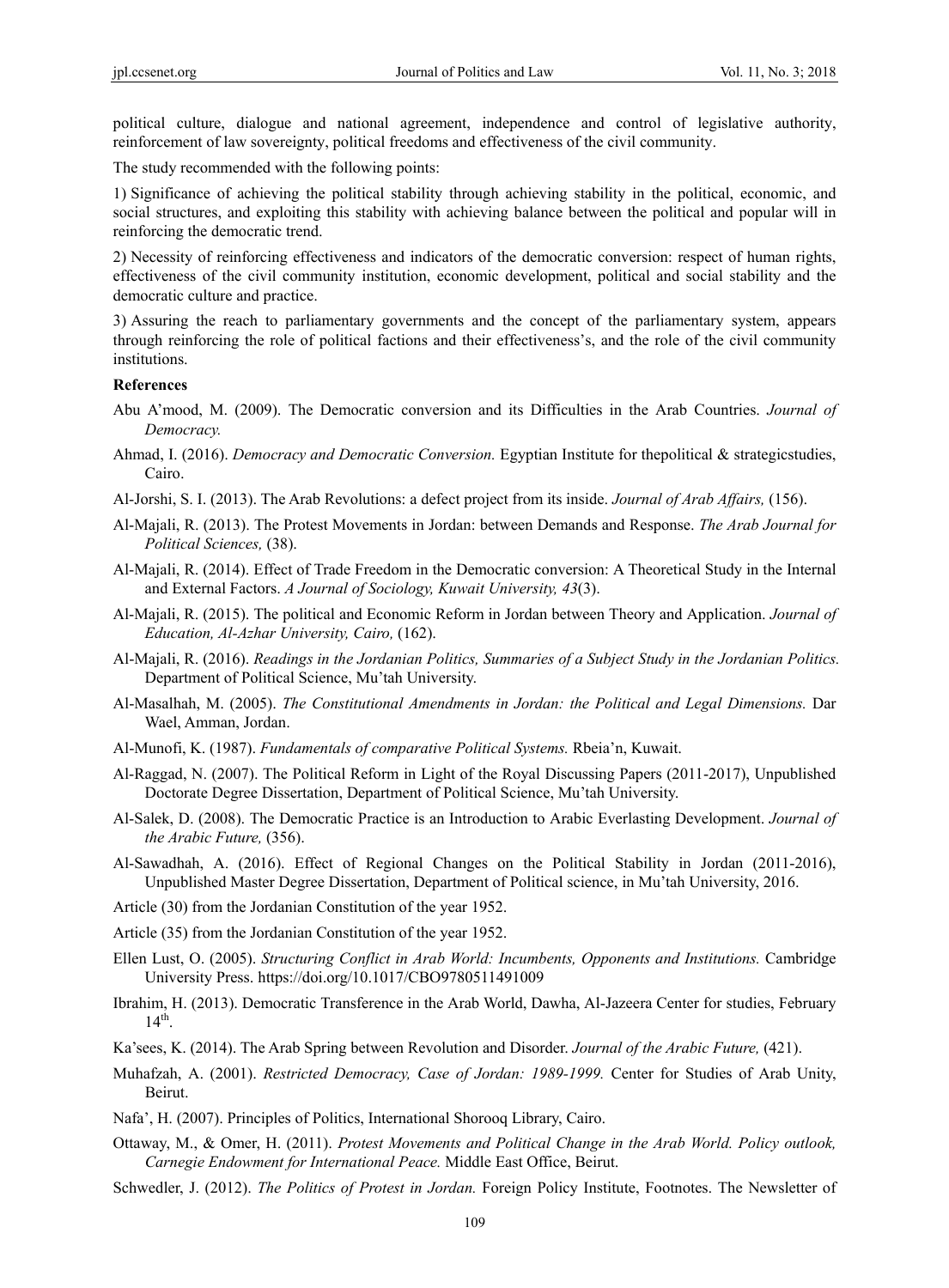political culture, dialogue and national agreement, independence and control of legislative authority, reinforcement of law sovereignty, political freedoms and effectiveness of the civil community.

The study recommended with the following points:

1) Significance of achieving the political stability through achieving stability in the political, economic, and social structures, and exploiting this stability with achieving balance between the political and popular will in reinforcing the democratic trend.

2) Necessity of reinforcing effectiveness and indicators of the democratic conversion: respect of human rights, effectiveness of the civil community institution, economic development, political and social stability and the democratic culture and practice.

3) Assuring the reach to parliamentary governments and the concept of the parliamentary system, appears through reinforcing the role of political factions and their effectiveness's, and the role of the civil community institutions.

#### **References**

- Abu A'mood, M. (2009). The Democratic conversion and its Difficulties in the Arab Countries. *Journal of Democracy.*
- Ahmad, I. (2016). *Democracy and Democratic Conversion.* Egyptian Institute for thepolitical & strategicstudies, Cairo.
- Al-Jorshi, S. I. (2013). The Arab Revolutions: a defect project from its inside. *Journal of Arab Affairs,* (156).
- Al-Majali, R. (2013). The Protest Movements in Jordan: between Demands and Response. *The Arab Journal for Political Sciences,* (38).
- Al-Majali, R. (2014). Effect of Trade Freedom in the Democratic conversion: A Theoretical Study in the Internal and External Factors. *A Journal of Sociology, Kuwait University, 43*(3).
- Al-Majali, R. (2015). The political and Economic Reform in Jordan between Theory and Application. *Journal of Education, Al-Azhar University, Cairo,* (162).
- Al-Majali, R. (2016). *Readings in the Jordanian Politics, Summaries of a Subject Study in the Jordanian Politics.* Department of Political Science, Mu'tah University.
- Al-Masalhah, M. (2005). *The Constitutional Amendments in Jordan: the Political and Legal Dimensions.* Dar Wael, Amman, Jordan.
- Al-Munofi, K. (1987). *Fundamentals of comparative Political Systems.* Rbeia'n, Kuwait.
- Al-Raggad, N. (2007). The Political Reform in Light of the Royal Discussing Papers (2011-2017), Unpublished Doctorate Degree Dissertation, Department of Political Science, Mu'tah University.
- Al-Salek, D. (2008). The Democratic Practice is an Introduction to Arabic Everlasting Development. *Journal of the Arabic Future,* (356).
- Al-Sawadhah, A. (2016). Effect of Regional Changes on the Political Stability in Jordan (2011-2016), Unpublished Master Degree Dissertation, Department of Political science, in Mu'tah University, 2016.
- Article (30) from the Jordanian Constitution of the year 1952.
- Article (35) from the Jordanian Constitution of the year 1952.
- Ellen Lust, O. (2005). *Structuring Conflict in Arab World: Incumbents, Opponents and Institutions.* Cambridge University Press. https://doi.org/10.1017/CBO9780511491009
- Ibrahim, H. (2013). Democratic Transference in the Arab World, Dawha, Al-Jazeera Center for studies, February  $14^{\text{th}}$
- Ka'sees, K. (2014). The Arab Spring between Revolution and Disorder. *Journal of the Arabic Future,* (421).
- Muhafzah, A. (2001). *Restricted Democracy, Case of Jordan: 1989-1999.* Center for Studies of Arab Unity, Beirut.
- Nafa', H. (2007). Principles of Politics, International Shorooq Library, Cairo.
- Ottaway, M., & Omer, H. (2011). *Protest Movements and Political Change in the Arab World. Policy outlook, Carnegie Endowment for International Peace.* Middle East Office, Beirut.
- Schwedler, J. (2012). *The Politics of Protest in Jordan.* Foreign Policy Institute, Footnotes. The Newsletter of